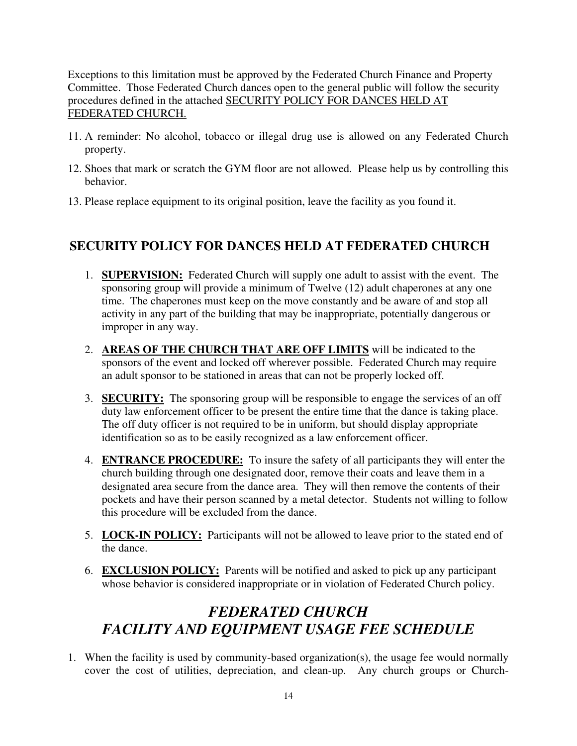Exceptions to this limitation must be approved by the Federated Church Finance and Property Committee. Those Federated Church dances open to the general public will follow the security procedures defined in the attached SECURITY POLICY FOR DANCES HELD AT FEDERATED CHURCH.

- 11. A reminder: No alcohol, tobacco or illegal drug use is allowed on any Federated Church property.
- 12. Shoes that mark or scratch the GYM floor are not allowed. Please help us by controlling this behavior.
- 13. Please replace equipment to its original position, leave the facility as you found it.

## **SECURITY POLICY FOR DANCES HELD AT FEDERATED CHURCH**

- 1. **SUPERVISION:** Federated Church will supply one adult to assist with the event. The sponsoring group will provide a minimum of Twelve (12) adult chaperones at any one time. The chaperones must keep on the move constantly and be aware of and stop all activity in any part of the building that may be inappropriate, potentially dangerous or improper in any way.
- 2. **AREAS OF THE CHURCH THAT ARE OFF LIMITS** will be indicated to the sponsors of the event and locked off wherever possible. Federated Church may require an adult sponsor to be stationed in areas that can not be properly locked off.
- 3. **SECURITY:** The sponsoring group will be responsible to engage the services of an off duty law enforcement officer to be present the entire time that the dance is taking place. The off duty officer is not required to be in uniform, but should display appropriate identification so as to be easily recognized as a law enforcement officer.
- 4. **ENTRANCE PROCEDURE:** To insure the safety of all participants they will enter the church building through one designated door, remove their coats and leave them in a designated area secure from the dance area. They will then remove the contents of their pockets and have their person scanned by a metal detector. Students not willing to follow this procedure will be excluded from the dance.
- 5. **LOCK-IN POLICY:** Participants will not be allowed to leave prior to the stated end of the dance.
- 6. **EXCLUSION POLICY:** Parents will be notified and asked to pick up any participant whose behavior is considered inappropriate or in violation of Federated Church policy.

## *FEDERATED CHURCH FACILITY AND EQUIPMENT USAGE FEE SCHEDULE*

1. When the facility is used by community-based organization(s), the usage fee would normally cover the cost of utilities, depreciation, and clean-up. Any church groups or Church-